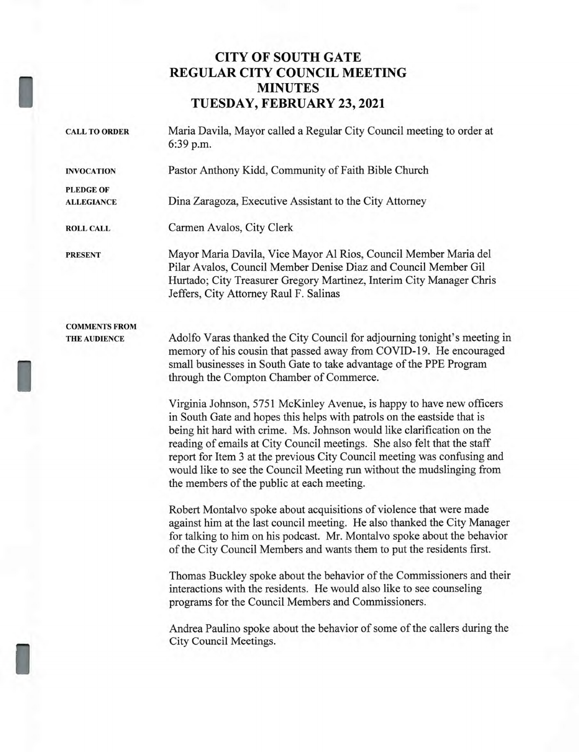# **CITY OF SOUTH GATE REGULAR CITY COUNCIL MEETING MINUTES TUESDAY, FEBRUARY 23, 2021**

I

I

| <b>CALL TO ORDER</b>                        | Maria Davila, Mayor called a Regular City Council meeting to order at<br>6:39 p.m.                                                                                                                                                                                                                                                                                                                                                                                                                         |  |  |
|---------------------------------------------|------------------------------------------------------------------------------------------------------------------------------------------------------------------------------------------------------------------------------------------------------------------------------------------------------------------------------------------------------------------------------------------------------------------------------------------------------------------------------------------------------------|--|--|
| <b>INVOCATION</b>                           | Pastor Anthony Kidd, Community of Faith Bible Church                                                                                                                                                                                                                                                                                                                                                                                                                                                       |  |  |
| <b>PLEDGE OF</b>                            |                                                                                                                                                                                                                                                                                                                                                                                                                                                                                                            |  |  |
| <b>ALLEGIANCE</b>                           | Dina Zaragoza, Executive Assistant to the City Attorney                                                                                                                                                                                                                                                                                                                                                                                                                                                    |  |  |
| <b>ROLL CALL</b>                            | Carmen Avalos, City Clerk                                                                                                                                                                                                                                                                                                                                                                                                                                                                                  |  |  |
| <b>PRESENT</b>                              | Mayor Maria Davila, Vice Mayor Al Rios, Council Member Maria del<br>Pilar Avalos, Council Member Denise Diaz and Council Member Gil<br>Hurtado; City Treasurer Gregory Martinez, Interim City Manager Chris<br>Jeffers, City Attorney Raul F. Salinas                                                                                                                                                                                                                                                      |  |  |
| <b>COMMENTS FROM</b><br><b>THE AUDIENCE</b> | Adolfo Varas thanked the City Council for adjourning tonight's meeting in<br>memory of his cousin that passed away from COVID-19. He encouraged<br>small businesses in South Gate to take advantage of the PPE Program<br>through the Compton Chamber of Commerce.                                                                                                                                                                                                                                         |  |  |
|                                             | Virginia Johnson, 5751 McKinley Avenue, is happy to have new officers<br>in South Gate and hopes this helps with patrols on the eastside that is<br>being hit hard with crime. Ms. Johnson would like clarification on the<br>reading of emails at City Council meetings. She also felt that the staff<br>report for Item 3 at the previous City Council meeting was confusing and<br>would like to see the Council Meeting run without the mudslinging from<br>the members of the public at each meeting. |  |  |
|                                             | Robert Montalvo spoke about acquisitions of violence that were made<br>against him at the last council meeting. He also thanked the City Manager<br>for talking to him on his podcast. Mr. Montalvo spoke about the behavior<br>of the City Council Members and wants them to put the residents first.                                                                                                                                                                                                     |  |  |
|                                             | Thomas Buckley spoke about the behavior of the Commissioners and their<br>interactions with the residents. He would also like to see counseling<br>programs for the Council Members and Commissioners.                                                                                                                                                                                                                                                                                                     |  |  |
|                                             | Andrea Paulino spoke about the behavior of some of the callers during the<br>City Council Meetings.                                                                                                                                                                                                                                                                                                                                                                                                        |  |  |
|                                             |                                                                                                                                                                                                                                                                                                                                                                                                                                                                                                            |  |  |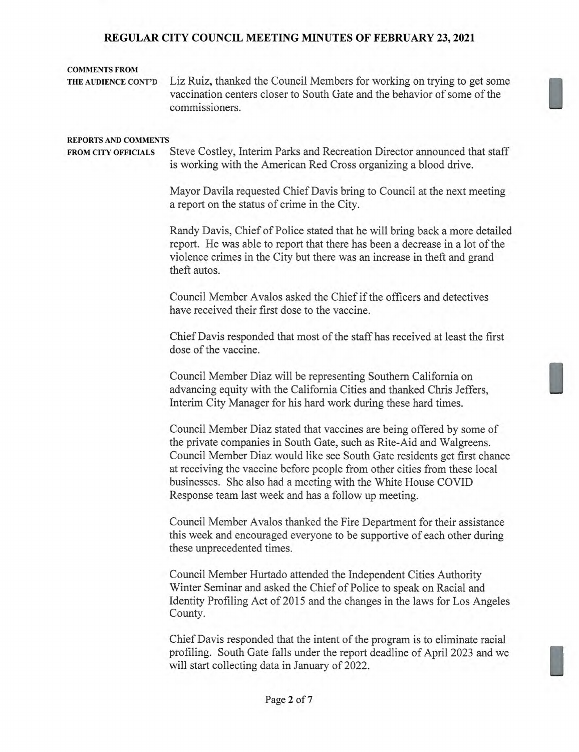### COMMENTS FROM

THE AUDIENCE CONT'D Liz Ruiz, thanked the Council Members for working on trying to get some vaccination centers closer to South Gate and the behavior of some of the commissioners.

#### REPORTS AND COMMENTS

FROM CITY OFFICIALS Steve Costley, Interim Parks and Recreation Director announced that staff is working with the American Red Cross organizing a blood drive.

> Mayor Davila requested Chief Davis bring to Council at the next meeting a report on the status of crime in the City.

Randy Davis, Chief of Police stated that he will bring back a more detailed report. He was able to report that there has been a decrease in a lot of the violence crimes in the City but there was an increase in theft and grand theft autos.

Council Member Avalos asked the Chief if the officers and detectives have received their first dose to the vaccine.

Chief Davis responded that most of the staff has received at least the first dose of the vaccine.

Council Member Diaz will be representing Southern California on advancing equity with the California Cities and thanked Chris Jeffers, Interim City Manager for his hard work during these hard times.

Council Member Diaz stated that vaccines are being offered by some of the private companies in South Gate, such as Rite-Aid and Walgreens. Council Member Diaz would like see South Gate residents get first chance at receiving the vaccine before people from other cities from these local businesses. She also had a meeting with the White House COVID Response team last week and has a follow up meeting.

Council Member Avalos thanked the Fire Department for their assistance this week and encouraged everyone to be supportive of each other during these unprecedented times.

Council Member Hurtado attended the Independent Cities Authority Winter Seminar and asked the Chief of Police to speak on Racial and Identity Profiling Act of 2015 and the changes in the laws for Los Angeles County.

Chief Davis responded that the intent of the program is to eliminate racial profiling. South Gate falls under the report deadline of April 2023 and we will start collecting data in January of 2022.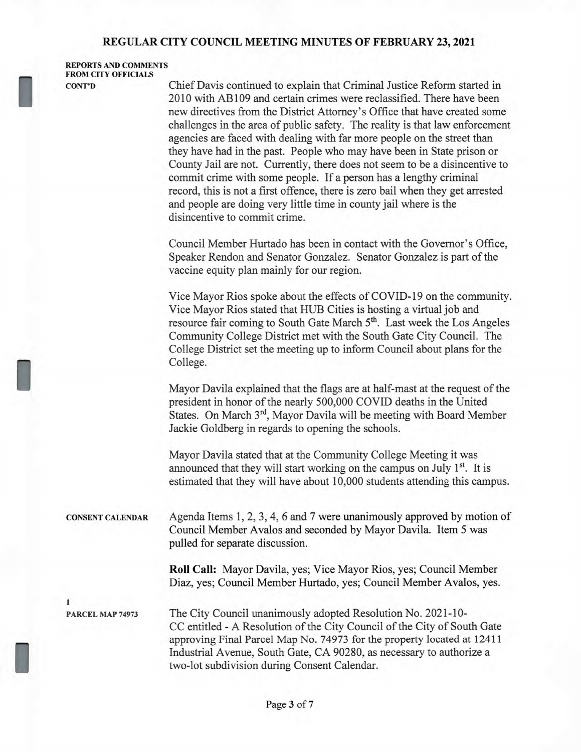REPORTS AND COMMENTS FROM CITY OFFICIALS

I

I

I

CONT'D Chief Davis continued to explain that Criminal Justice Reform started in 2010 with AB109 and certain crimes were reclassified. There have been new directives from the District Attorney's Office that have created some challenges in the area of public safety. The reality is that law enforcement agencies are faced with dealing with far more people on the street than they have had in the past. People who may have been in State prison or County Jail are not. Currently, there does not seem to be a disincentive to commit crime with some people. If a person has a lengthy criminal record, this is not a first offence, there is zero bail when they get arrested and people are doing very little time in county jail where is the disincentive to commit crime.

> Council Member Hurtado has been in contact with the Governor's Office, Speaker Rendon and Senator Gonzalez. Senator Gonzalez is part of the vaccine equity plan mainly for our region.

Vice Mayor Rios spoke about the effects of COVID-19 on the community. Vice Mayor Rios stated that HUB Cities is hosting a virtual job and resource fair coming to South Gate March 5<sup>th</sup>. Last week the Los Angeles Community College District met with the South Gate City Council. The College District set the meeting up to inform Council about plans for the College.

Mayor Davila explained that the flags are at half-mast at the request of the president in honor of the nearly 500,000 COVID deaths in the United States. On March 3<sup>rd</sup>, Mayor Davila will be meeting with Board Member Jackie Goldberg in regards to opening the schools.

Mayor Davila stated that at the Community College Meeting it was announced that they will start working on the campus on July  $1<sup>st</sup>$ . It is estimated that they will have about 10,000 students attending this campus.

CONSENT CALENDAR Agenda Items 1, 2, 3, 4, 6 and 7 were unanimously approved by motion of Council Member Avalos and seconded by Mayor Davila. Item 5 was pulled for separate discussion.

> **Roll Call:** Mayor Davila, yes; Vice Mayor Rios, yes; Council Member Diaz, yes; Council Member Hurtado, yes; Council Member Avalos, yes.

1

PARCEL MAP 74973 The City Council unanimously adopted Resolution No. 2021-10- CC entitled - A Resolution of the City Council of the City of South Gate approving Final Parcel Map No. 74973 for the property located at 12411 Industrial Avenue, South Gate, CA 90280, as necessary to authorize a two-lot subdivision during Consent Calendar.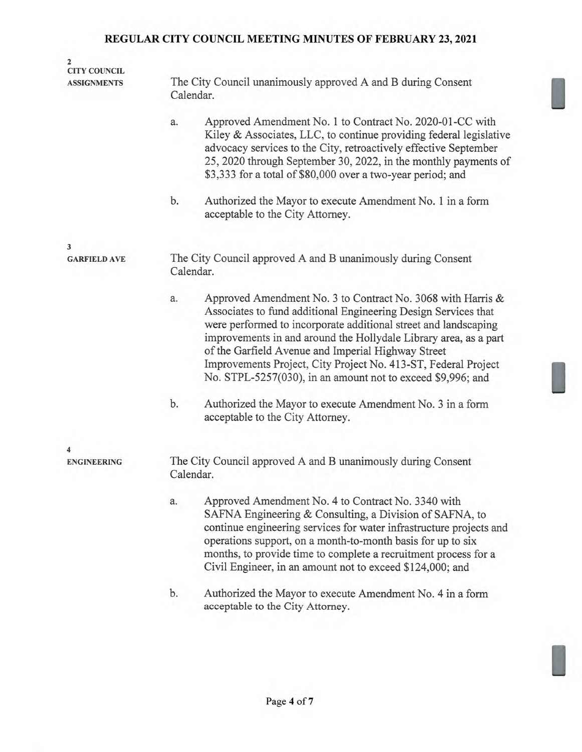| $\overline{2}$<br><b>CITY COUNCIL</b><br><b>ASSIGNMENTS</b> | The City Council unanimously approved A and B during Consent<br>Calendar.                                                                                                                                                                                                                                                                                                                                                                                         |  |  |  |
|-------------------------------------------------------------|-------------------------------------------------------------------------------------------------------------------------------------------------------------------------------------------------------------------------------------------------------------------------------------------------------------------------------------------------------------------------------------------------------------------------------------------------------------------|--|--|--|
|                                                             | Approved Amendment No. 1 to Contract No. 2020-01-CC with<br>a.<br>Kiley & Associates, LLC, to continue providing federal legislative<br>advocacy services to the City, retroactively effective September<br>25, 2020 through September 30, 2022, in the monthly payments of<br>\$3,333 for a total of \$80,000 over a two-year period; and                                                                                                                        |  |  |  |
|                                                             | b.<br>Authorized the Mayor to execute Amendment No. 1 in a form<br>acceptable to the City Attorney.                                                                                                                                                                                                                                                                                                                                                               |  |  |  |
| 3                                                           |                                                                                                                                                                                                                                                                                                                                                                                                                                                                   |  |  |  |
| <b>GARFIELD AVE</b>                                         | The City Council approved A and B unanimously during Consent<br>Calendar.                                                                                                                                                                                                                                                                                                                                                                                         |  |  |  |
|                                                             | Approved Amendment No. 3 to Contract No. 3068 with Harris &<br>a.<br>Associates to fund additional Engineering Design Services that<br>were performed to incorporate additional street and landscaping<br>improvements in and around the Hollydale Library area, as a part<br>of the Garfield Avenue and Imperial Highway Street<br>Improvements Project, City Project No. 413-ST, Federal Project<br>No. STPL-5257(030), in an amount not to exceed \$9,996; and |  |  |  |
|                                                             | b.<br>Authorized the Mayor to execute Amendment No. 3 in a form<br>acceptable to the City Attorney.                                                                                                                                                                                                                                                                                                                                                               |  |  |  |
|                                                             |                                                                                                                                                                                                                                                                                                                                                                                                                                                                   |  |  |  |
| 4<br><b>ENGINEERING</b>                                     | The City Council approved A and B unanimously during Consent<br>Calendar.                                                                                                                                                                                                                                                                                                                                                                                         |  |  |  |
|                                                             | Approved Amendment No. 4 to Contract No. 3340 with<br>a.<br>SAFNA Engineering & Consulting, a Division of SAFNA, to<br>continue engineering services for water infrastructure projects and<br>operations support, on a month-to-month basis for up to six<br>months, to provide time to complete a recruitment process for a<br>Civil Engineer, in an amount not to exceed \$124,000; and                                                                         |  |  |  |
|                                                             | b.<br>Authorized the Mayor to execute Amendment No. 4 in a form<br>acceptable to the City Attorney.                                                                                                                                                                                                                                                                                                                                                               |  |  |  |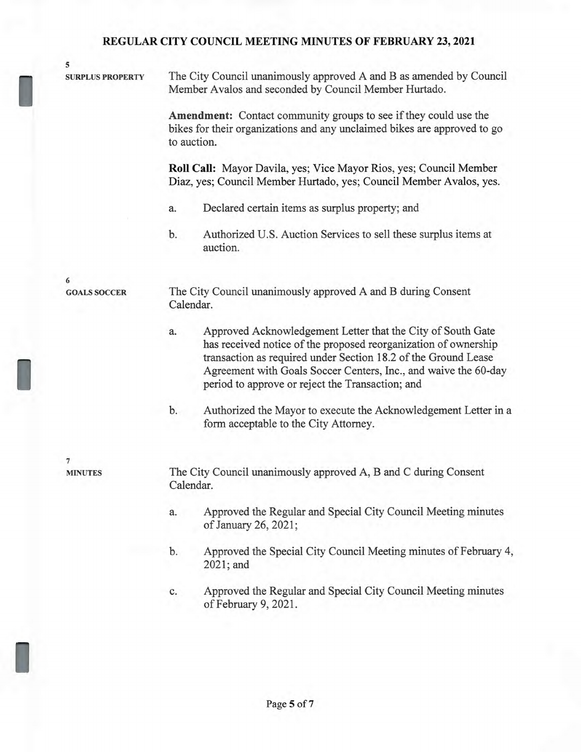| 5                       |                                                                                                                              |                                                                                                                                                                                                                                                                                                                         |  |  |
|-------------------------|------------------------------------------------------------------------------------------------------------------------------|-------------------------------------------------------------------------------------------------------------------------------------------------------------------------------------------------------------------------------------------------------------------------------------------------------------------------|--|--|
| <b>SURPLUS PROPERTY</b> | The City Council unanimously approved A and B as amended by Council<br>Member Avalos and seconded by Council Member Hurtado. |                                                                                                                                                                                                                                                                                                                         |  |  |
|                         |                                                                                                                              | Amendment: Contact community groups to see if they could use the<br>bikes for their organizations and any unclaimed bikes are approved to go<br>to auction.                                                                                                                                                             |  |  |
|                         |                                                                                                                              | Roll Call: Mayor Davila, yes; Vice Mayor Rios, yes; Council Member<br>Diaz, yes; Council Member Hurtado, yes; Council Member Avalos, yes.                                                                                                                                                                               |  |  |
|                         | a.                                                                                                                           | Declared certain items as surplus property; and                                                                                                                                                                                                                                                                         |  |  |
|                         | b.                                                                                                                           | Authorized U.S. Auction Services to sell these surplus items at<br>auction.                                                                                                                                                                                                                                             |  |  |
| 6                       |                                                                                                                              |                                                                                                                                                                                                                                                                                                                         |  |  |
| <b>GOALS SOCCER</b>     | The City Council unanimously approved A and B during Consent<br>Calendar.                                                    |                                                                                                                                                                                                                                                                                                                         |  |  |
|                         | a.                                                                                                                           | Approved Acknowledgement Letter that the City of South Gate<br>has received notice of the proposed reorganization of ownership<br>transaction as required under Section 18.2 of the Ground Lease<br>Agreement with Goals Soccer Centers, Inc., and waive the 60-day<br>period to approve or reject the Transaction; and |  |  |
|                         | b.                                                                                                                           | Authorized the Mayor to execute the Acknowledgement Letter in a<br>form acceptable to the City Attorney.                                                                                                                                                                                                                |  |  |
| 7                       |                                                                                                                              |                                                                                                                                                                                                                                                                                                                         |  |  |
| <b>MINUTES</b>          |                                                                                                                              | The City Council unanimously approved A, B and C during Consent<br>Calendar.                                                                                                                                                                                                                                            |  |  |
|                         | a.                                                                                                                           | Approved the Regular and Special City Council Meeting minutes<br>of January 26, 2021;                                                                                                                                                                                                                                   |  |  |
|                         | b.                                                                                                                           | Approved the Special City Council Meeting minutes of February 4,<br>2021; and                                                                                                                                                                                                                                           |  |  |
|                         | c.                                                                                                                           | Approved the Regular and Special City Council Meeting minutes                                                                                                                                                                                                                                                           |  |  |

of February 9, 2021.

I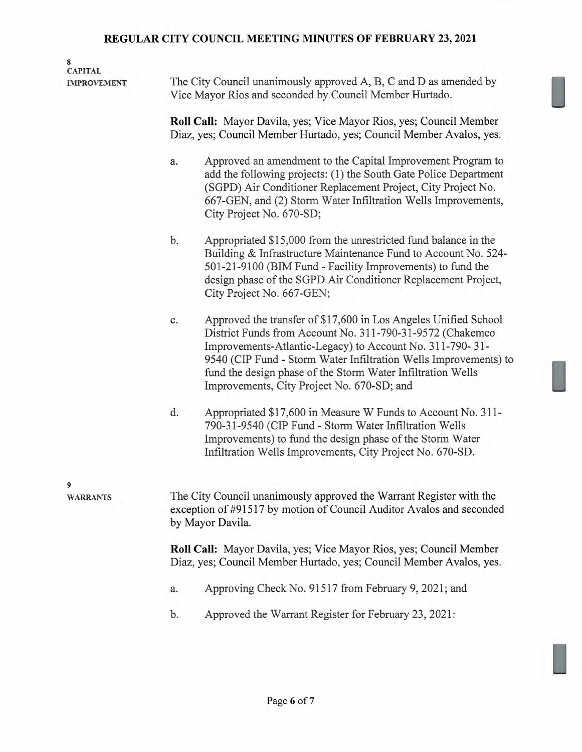| 8<br><b>CAPITAL</b><br><b>IMPROVEMENT</b> | The City Council unanimously approved A, B, C and D as amended by<br>Vice Mayor Rios and seconded by Council Member Hurtado.                                                                                                                                                                                                                                                    |  |  |  |  |
|-------------------------------------------|---------------------------------------------------------------------------------------------------------------------------------------------------------------------------------------------------------------------------------------------------------------------------------------------------------------------------------------------------------------------------------|--|--|--|--|
|                                           | Roll Call: Mayor Davila, yes; Vice Mayor Rios, yes; Council Member<br>Diaz, yes; Council Member Hurtado, yes; Council Member Avalos, yes.                                                                                                                                                                                                                                       |  |  |  |  |
|                                           | Approved an amendment to the Capital Improvement Program to<br>a.<br>add the following projects: (1) the South Gate Police Department<br>(SGPD) Air Conditioner Replacement Project, City Project No.<br>667-GEN, and (2) Storm Water Infiltration Wells Improvements,<br>City Project No. 670-SD;                                                                              |  |  |  |  |
|                                           | b.<br>Appropriated \$15,000 from the unrestricted fund balance in the<br>Building & Infrastructure Maintenance Fund to Account No. 524-<br>501-21-9100 (BIM Fund - Facility Improvements) to fund the<br>design phase of the SGPD Air Conditioner Replacement Project,<br>City Project No. 667-GEN;                                                                             |  |  |  |  |
|                                           | Approved the transfer of \$17,600 in Los Angeles Unified School<br>c.<br>District Funds from Account No. 311-790-31-9572 (Chakemco<br>Improvements-Atlantic-Legacy) to Account No. 311-790-31-<br>9540 (CIP Fund - Storm Water Infiltration Wells Improvements) to<br>fund the design phase of the Storm Water Infiltration Wells<br>Improvements, City Project No. 670-SD; and |  |  |  |  |
|                                           | d.<br>Appropriated \$17,600 in Measure W Funds to Account No. 311-<br>790-31-9540 (CIP Fund - Storm Water Infiltration Wells<br>Improvements) to fund the design phase of the Storm Water<br>Infiltration Wells Improvements, City Project No. 670-SD.                                                                                                                          |  |  |  |  |
| 9<br><b>WARRANTS</b>                      | The City Council unanimously approved the Warrant Register with the<br>exception of #91517 by motion of Council Auditor Avalos and seconded<br>by Mayor Davila.                                                                                                                                                                                                                 |  |  |  |  |
|                                           | <b>Roll Call:</b> Mayor Davila, yes; Vice Mayor Rios, yes; Council Member<br>Diaz, yes; Council Member Hurtado, yes; Council Member Avalos, yes.                                                                                                                                                                                                                                |  |  |  |  |
|                                           | Approving Check No. 91517 from February 9, 2021; and<br>a.                                                                                                                                                                                                                                                                                                                      |  |  |  |  |
|                                           | Approved the Warrant Register for February 23, 2021:<br>b.                                                                                                                                                                                                                                                                                                                      |  |  |  |  |
|                                           |                                                                                                                                                                                                                                                                                                                                                                                 |  |  |  |  |